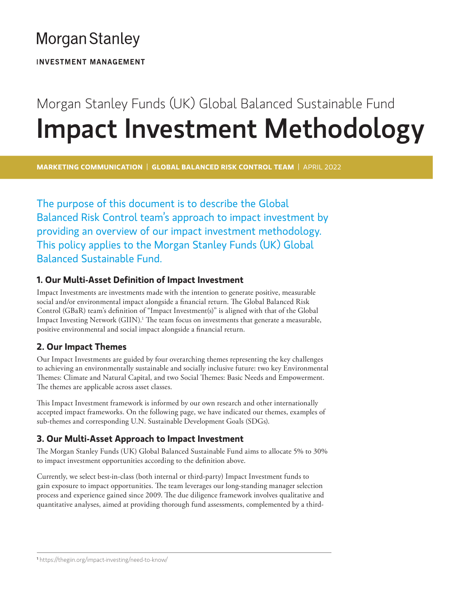# **Morgan Stanley**

**INVESTMENT MANAGEMENT** 

# Morgan Stanley Funds (UK) Global Balanced Sustainable Fund Impact Investment Methodology

**MARKETING COMMUNICATION** | **GLOBAL BALANCED RISK CONTROL TEAM** | APRIL 2022

The purpose of this document is to describe the Global Balanced Risk Control team's approach to impact investment by providing an overview of our impact investment methodology. This policy applies to the Morgan Stanley Funds (UK) Global Balanced Sustainable Fund.

### **1. Our Multi-Asset Definition of Impact Investment**

Impact Investments are investments made with the intention to generate positive, measurable social and/or environmental impact alongside a financial return. The Global Balanced Risk Control (GBaR) team's definition of "Impact Investment(s)" is aligned with that of the Global Impact Investing Network (GIIN).<sup>1</sup> The team focus on investments that generate a measurable, positive environmental and social impact alongside a financial return.

### **2. Our Impact Themes**

Our Impact Investments are guided by four overarching themes representing the key challenges to achieving an environmentally sustainable and socially inclusive future: two key Environmental Themes: Climate and Natural Capital, and two Social Themes: Basic Needs and Empowerment. The themes are applicable across asset classes.

This Impact Investment framework is informed by our own research and other internationally accepted impact frameworks. On the following page, we have indicated our themes, examples of sub-themes and corresponding U.N. Sustainable Development Goals (SDGs).

## **3. Our Multi-Asset Approach to Impact Investment**

The Morgan Stanley Funds (UK) Global Balanced Sustainable Fund aims to allocate 5% to 30% to impact investment opportunities according to the definition above.

Currently, we select best-in-class (both internal or third-party) Impact Investment funds to gain exposure to impact opportunities. The team leverages our long-standing manager selection process and experience gained since 2009. The due diligence framework involves qualitative and quantitative analyses, aimed at providing thorough fund assessments, complemented by a third-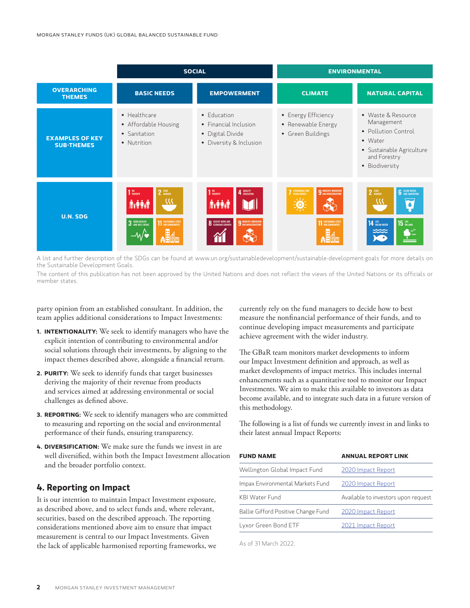|                                             | <b>SOCIAL</b>                                                                                                     |                                                                                                            | <b>ENVIRONMENTAL</b>                                                                    |                                                                                                                                   |
|---------------------------------------------|-------------------------------------------------------------------------------------------------------------------|------------------------------------------------------------------------------------------------------------|-----------------------------------------------------------------------------------------|-----------------------------------------------------------------------------------------------------------------------------------|
| <b>OVERARCHING</b><br><b>THEMES</b>         | <b>BASIC NEEDS</b>                                                                                                | <b>EMPOWERMENT</b>                                                                                         | <b>CLIMATE</b>                                                                          | <b>NATURAL CAPITAL</b>                                                                                                            |
| <b>EXAMPLES OF KEY</b><br><b>SUB-THEMES</b> | • Healthcare<br>• Affordable Housing<br>• Sanitation<br>• Nutrition                                               | • Education<br>• Financial Inclusion<br>• Digital Divide<br>• Diversity & Inclusion                        | • Energy Efficiency<br>• Renewable Energy<br>• Green Buildings                          | • Waste & Resource<br>Management<br>• Pollution Control<br>• Water<br>• Sustainable Agriculture<br>and Forestry<br>· Biodiversity |
| <b>U.N. SDG</b>                             | 1 <sup>NO</sup> POVERTY<br>$2$ $^{ZERO}$<br>32<br><b>Niffilm</b><br>3 GOOD HEALTH<br><b>11 SUSTAINABLE CITIES</b> | 4 QUALITY<br>1 <sup>NO</sup> POVERTY<br><b>NYAAN</b><br><b>8</b> DECENT WORK AND<br>9 INDUSTRY, INNOVATION | <b>7</b> AFFORDABLE AND<br><b>9</b> INDUSTRY, INNOVATION<br><b>11 SUSTAINABLE CITIE</b> | <b>6</b> CLEAN WATER<br>2 ZERO<br>32<br><b>15 UIE</b><br><b>14 UFE</b> BELOW WATER<br>ಯ                                           |

A list and further description of the SDGs can be found at www.un.org/sustainabledevelopment/sustainable-development-goals for more details on the Sustainable Development Goals.

The content of this publication has not been approved by the United Nations and does not reflect the views of the United Nations or its officials or member states.

party opinion from an established consultant. In addition, the team applies additional considerations to Impact Investments:

- **1. INTENTIONALITY:** We seek to identify managers who have the explicit intention of contributing to environmental and/or social solutions through their investments, by aligning to the impact themes described above, alongside a financial return.
- **2. PURITY:** We seek to identify funds that target businesses deriving the majority of their revenue from products and services aimed at addressing environmental or social challenges as defined above.
- **3. REPORTING:** We seek to identify managers who are committed to measuring and reporting on the social and environmental performance of their funds, ensuring transparency.
- **4. DIVERSIFICATION:** We make sure the funds we invest in are well diversified, within both the Impact Investment allocation and the broader portfolio context.

#### **4. Reporting on Impact**

It is our intention to maintain Impact Investment exposure, as described above, and to select funds and, where relevant, securities, based on the described approach. The reporting considerations mentioned above aim to ensure that impact measurement is central to our Impact Investments. Given the lack of applicable harmonised reporting frameworks, we currently rely on the fund managers to decide how to best measure the nonfinancial performance of their funds, and to continue developing impact measurements and participate achieve agreement with the wider industry.

The GBaR team monitors market developments to inform our Impact Investment definition and approach, as well as market developments of impact metrics. This includes internal enhancements such as a quantitative tool to monitor our Impact Investments. We aim to make this available to investors as data become available, and to integrate such data in a future version of this methodology.

The following is a list of funds we currently invest in and links to their latest annual Impact Reports:

| <b>FUND NAME</b>                    | <b>ANNUAL REPORT LINK</b>           |  |
|-------------------------------------|-------------------------------------|--|
| Wellington Global Impact Fund       | 2020 Impact Report                  |  |
| Impax Environmental Markets Fund    | 2020 Impact Report                  |  |
| KBI Water Fund                      | Available to investors upon request |  |
| Ballie Gifford Positive Change Fund | 2020 Impact Report                  |  |
| Lyxor Green Bond ETF                | 2021 Impact Report                  |  |

As of 31 March 2022.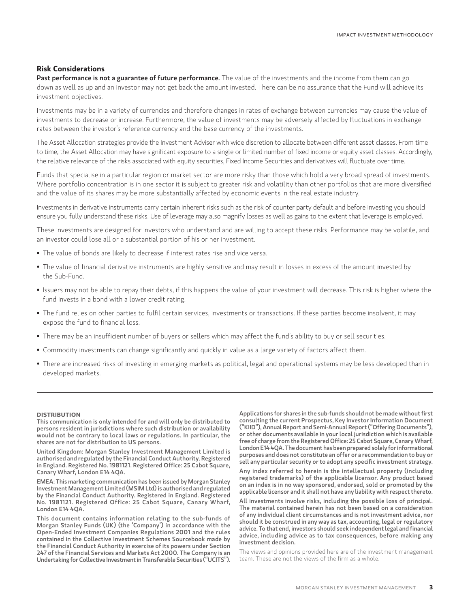#### **Risk Considerations**

Past performance is not a guarantee of future performance. The value of the investments and the income from them can go down as well as up and an investor may not get back the amount invested. There can be no assurance that the Fund will achieve its investment objectives.

Investments may be in a variety of currencies and therefore changes in rates of exchange between currencies may cause the value of investments to decrease or increase. Furthermore, the value of investments may be adversely affected by fluctuations in exchange rates between the investor's reference currency and the base currency of the investments.

The Asset Allocation strategies provide the Investment Adviser with wide discretion to allocate between different asset classes. From time to time, the Asset Allocation may have significant exposure to a single or limited number of fixed income or equity asset classes. Accordingly, the relative relevance of the risks associated with equity securities, Fixed Income Securities and derivatives will fluctuate over time.

Funds that specialise in a particular region or market sector are more risky than those which hold a very broad spread of investments. Where portfolio concentration is in one sector it is subject to greater risk and volatility than other portfolios that are more diversified and the value of its shares may be more substantially affected by economic events in the real estate industry.

Investments in derivative instruments carry certain inherent risks such as the risk of counter party default and before investing you should ensure you fully understand these risks. Use of leverage may also magnify losses as well as gains to the extent that leverage is employed.

These investments are designed for investors who understand and are willing to accept these risks. Performance may be volatile, and an investor could lose all or a substantial portion of his or her investment.

- The value of bonds are likely to decrease if interest rates rise and vice versa.
- The value of financial derivative instruments are highly sensitive and may result in losses in excess of the amount invested by the Sub-Fund.
- Issuers may not be able to repay their debts, if this happens the value of your investment will decrease. This risk is higher where the fund invests in a bond with a lower credit rating.
- The fund relies on other parties to fulfil certain services, investments or transactions. If these parties become insolvent, it may expose the fund to financial loss.
- There may be an insufficient number of buyers or sellers which may affect the fund's ability to buy or sell securities.
- Commodity investments can change significantly and quickly in value as a large variety of factors affect them.
- There are increased risks of investing in emerging markets as political, legal and operational systems may be less developed than in developed markets.

#### **DISTRIBUTION**

This communication is only intended for and will only be distributed to persons resident in jurisdictions where such distribution or availability would not be contrary to local laws or regulations. In particular, the shares are not for distribution to US persons.

United Kingdom: Morgan Stanley Investment Management Limited is authorised and regulated by the Financial Conduct Authority. Registered in England. Registered No. 1981121. Registered Office: 25 Cabot Square, Canary Wharf, London E14 4QA.

EMEA: This marketing communication has been issued by Morgan Stanley Investment Management Limited (MSIM Ltd) is authorised and regulated by the Financial Conduct Authority. Registered in England. Registered No. 1981121. Registered Office: 25 Cabot Square, Canary Wharf, London E14 4QA.

This document contains information relating to the sub-funds of Morgan Stanley Funds (UK) (the 'Company') in accordance with the Open-Ended Investment Companies Regulations 2001 and the rules contained in the Collective Investment Schemes Sourcebook made by the Financial Conduct Authority in exercise of its powers under Section 247 of the Financial Services and Markets Act 2000. The Company is an Undertaking for Collective Investment in Transferable Securities ("UCITS").

Applications for shares in the sub-funds should not be made without first consulting the current Prospectus, Key Investor Information Document ("KIID"), Annual Report and Semi-Annual Report ("Offering Documents"), or other documents available in your local jurisdiction which is available free of charge from the Registered Office: 25 Cabot Square, Canary Wharf, London E14 4QA. The document has been prepared solely for informational purposes and does not constitute an offer or a recommendation to buy or sell any particular security or to adopt any specific investment strategy.

Any index referred to herein is the intellectual property (including registered trademarks) of the applicable licensor. Any product based on an index is in no way sponsored, endorsed, sold or promoted by the applicable licensor and it shall not have any liability with respect thereto.

All investments involve risks, including the possible loss of principal. The material contained herein has not been based on a consideration of any individual client circumstances and is not investment advice, nor should it be construed in any way as tax, accounting, legal or regulatory advice. To that end, investors should seek independent legal and financial advice, including advice as to tax consequences, before making any investment decision.

The views and opinions provided here are of the investment management team. These are not the views of the firm as a whole.